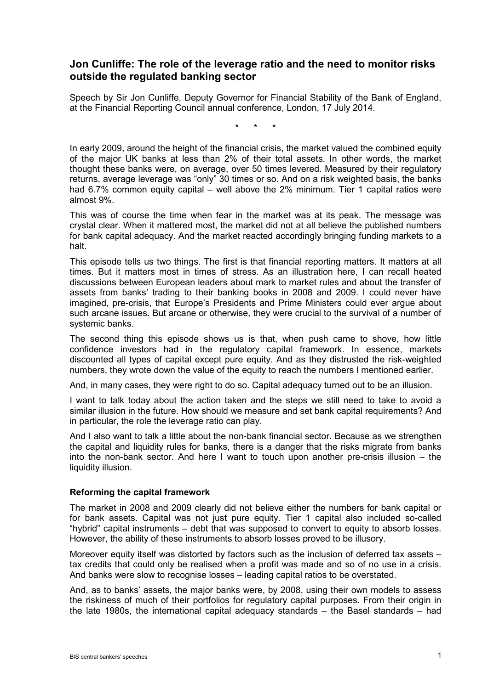## **Jon Cunliffe: The role of the leverage ratio and the need to monitor risks outside the regulated banking sector**

Speech by Sir Jon Cunliffe, Deputy Governor for Financial Stability of the Bank of England, at the Financial Reporting Council annual conference, London, 17 July 2014.

\* \* \*

In early 2009, around the height of the financial crisis, the market valued the combined equity of the major UK banks at less than 2% of their total assets. In other words, the market thought these banks were, on average, over 50 times levered. Measured by their regulatory returns, average leverage was "only" 30 times or so. And on a risk weighted basis, the banks had 6.7% common equity capital – well above the 2% minimum. Tier 1 capital ratios were almost 9%.

This was of course the time when fear in the market was at its peak. The message was crystal clear. When it mattered most, the market did not at all believe the published numbers for bank capital adequacy. And the market reacted accordingly bringing funding markets to a halt.

This episode tells us two things. The first is that financial reporting matters. It matters at all times. But it matters most in times of stress. As an illustration here, I can recall heated discussions between European leaders about mark to market rules and about the transfer of assets from banks' trading to their banking books in 2008 and 2009. I could never have imagined, pre-crisis, that Europe's Presidents and Prime Ministers could ever argue about such arcane issues. But arcane or otherwise, they were crucial to the survival of a number of systemic banks.

The second thing this episode shows us is that, when push came to shove, how little confidence investors had in the regulatory capital framework. In essence, markets discounted all types of capital except pure equity. And as they distrusted the risk-weighted numbers, they wrote down the value of the equity to reach the numbers I mentioned earlier.

And, in many cases, they were right to do so. Capital adequacy turned out to be an illusion.

I want to talk today about the action taken and the steps we still need to take to avoid a similar illusion in the future. How should we measure and set bank capital requirements? And in particular, the role the leverage ratio can play.

And I also want to talk a little about the non-bank financial sector. Because as we strengthen the capital and liquidity rules for banks, there is a danger that the risks migrate from banks into the non-bank sector. And here I want to touch upon another pre-crisis illusion – the liquidity illusion.

## **Reforming the capital framework**

The market in 2008 and 2009 clearly did not believe either the numbers for bank capital or for bank assets. Capital was not just pure equity. Tier 1 capital also included so-called "hybrid" capital instruments – debt that was supposed to convert to equity to absorb losses. However, the ability of these instruments to absorb losses proved to be illusory.

Moreover equity itself was distorted by factors such as the inclusion of deferred tax assets – tax credits that could only be realised when a profit was made and so of no use in a crisis. And banks were slow to recognise losses – leading capital ratios to be overstated.

And, as to banks' assets, the major banks were, by 2008, using their own models to assess the riskiness of much of their portfolios for regulatory capital purposes. From their origin in the late 1980s, the international capital adequacy standards – the Basel standards – had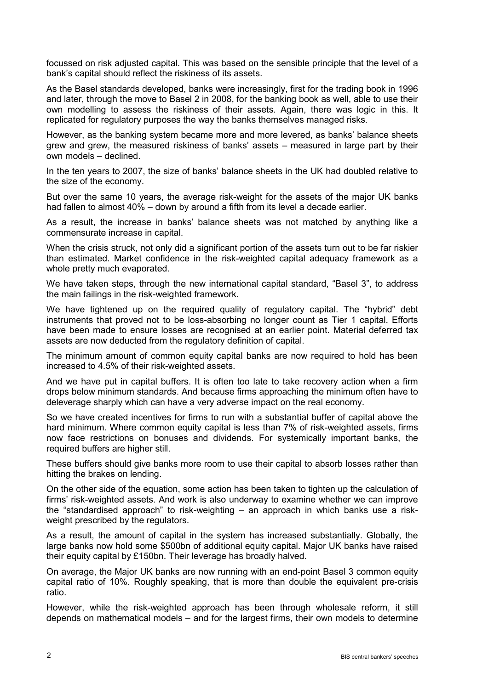focussed on risk adjusted capital. This was based on the sensible principle that the level of a bank's capital should reflect the riskiness of its assets.

As the Basel standards developed, banks were increasingly, first for the trading book in 1996 and later, through the move to Basel 2 in 2008, for the banking book as well, able to use their own modelling to assess the riskiness of their assets. Again, there was logic in this. It replicated for regulatory purposes the way the banks themselves managed risks.

However, as the banking system became more and more levered, as banks' balance sheets grew and grew, the measured riskiness of banks' assets – measured in large part by their own models – declined.

In the ten years to 2007, the size of banks' balance sheets in the UK had doubled relative to the size of the economy.

But over the same 10 years, the average risk-weight for the assets of the major UK banks had fallen to almost 40% – down by around a fifth from its level a decade earlier.

As a result, the increase in banks' balance sheets was not matched by anything like a commensurate increase in capital.

When the crisis struck, not only did a significant portion of the assets turn out to be far riskier than estimated. Market confidence in the risk-weighted capital adequacy framework as a whole pretty much evaporated.

We have taken steps, through the new international capital standard, "Basel 3", to address the main failings in the risk-weighted framework.

We have tightened up on the required quality of regulatory capital. The "hybrid" debt instruments that proved not to be loss-absorbing no longer count as Tier 1 capital. Efforts have been made to ensure losses are recognised at an earlier point. Material deferred tax assets are now deducted from the regulatory definition of capital.

The minimum amount of common equity capital banks are now required to hold has been increased to 4.5% of their risk-weighted assets.

And we have put in capital buffers. It is often too late to take recovery action when a firm drops below minimum standards. And because firms approaching the minimum often have to deleverage sharply which can have a very adverse impact on the real economy.

So we have created incentives for firms to run with a substantial buffer of capital above the hard minimum. Where common equity capital is less than 7% of risk-weighted assets, firms now face restrictions on bonuses and dividends. For systemically important banks, the required buffers are higher still.

These buffers should give banks more room to use their capital to absorb losses rather than hitting the brakes on lending.

On the other side of the equation, some action has been taken to tighten up the calculation of firms' risk-weighted assets. And work is also underway to examine whether we can improve the "standardised approach" to risk-weighting – an approach in which banks use a riskweight prescribed by the regulators.

As a result, the amount of capital in the system has increased substantially. Globally, the large banks now hold some \$500bn of additional equity capital. Major UK banks have raised their equity capital by £150bn. Their leverage has broadly halved.

On average, the Major UK banks are now running with an end-point Basel 3 common equity capital ratio of 10%. Roughly speaking, that is more than double the equivalent pre-crisis ratio.

However, while the risk-weighted approach has been through wholesale reform, it still depends on mathematical models – and for the largest firms, their own models to determine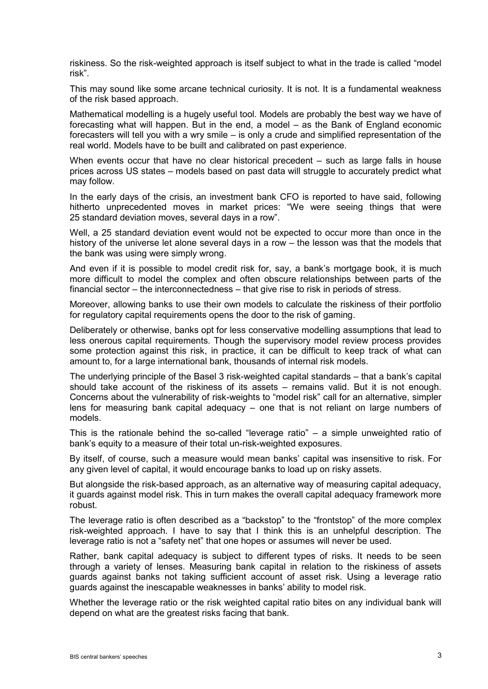riskiness. So the risk-weighted approach is itself subject to what in the trade is called "model risk".

This may sound like some arcane technical curiosity. It is not. It is a fundamental weakness of the risk based approach.

Mathematical modelling is a hugely useful tool. Models are probably the best way we have of forecasting what will happen. But in the end, a model – as the Bank of England economic forecasters will tell you with a wry smile – is only a crude and simplified representation of the real world. Models have to be built and calibrated on past experience.

When events occur that have no clear historical precedent – such as large falls in house prices across US states – models based on past data will struggle to accurately predict what may follow.

In the early days of the crisis, an investment bank CFO is reported to have said, following hitherto unprecedented moves in market prices: "We were seeing things that were 25 standard deviation moves, several days in a row".

Well, a 25 standard deviation event would not be expected to occur more than once in the history of the universe let alone several days in a row – the lesson was that the models that the bank was using were simply wrong.

And even if it is possible to model credit risk for, say, a bank's mortgage book, it is much more difficult to model the complex and often obscure relationships between parts of the financial sector – the interconnectedness – that give rise to risk in periods of stress.

Moreover, allowing banks to use their own models to calculate the riskiness of their portfolio for regulatory capital requirements opens the door to the risk of gaming.

Deliberately or otherwise, banks opt for less conservative modelling assumptions that lead to less onerous capital requirements. Though the supervisory model review process provides some protection against this risk, in practice, it can be difficult to keep track of what can amount to, for a large international bank, thousands of internal risk models.

The underlying principle of the Basel 3 risk-weighted capital standards – that a bank's capital should take account of the riskiness of its assets – remains valid. But it is not enough. Concerns about the vulnerability of risk-weights to "model risk" call for an alternative, simpler lens for measuring bank capital adequacy – one that is not reliant on large numbers of models.

This is the rationale behind the so-called "leverage ratio" – a simple unweighted ratio of bank's equity to a measure of their total un-risk-weighted exposures.

By itself, of course, such a measure would mean banks' capital was insensitive to risk. For any given level of capital, it would encourage banks to load up on risky assets.

But alongside the risk-based approach, as an alternative way of measuring capital adequacy, it guards against model risk. This in turn makes the overall capital adequacy framework more robust.

The leverage ratio is often described as a "backstop" to the "frontstop" of the more complex risk-weighted approach. I have to say that I think this is an unhelpful description. The leverage ratio is not a "safety net" that one hopes or assumes will never be used.

Rather, bank capital adequacy is subject to different types of risks. It needs to be seen through a variety of lenses. Measuring bank capital in relation to the riskiness of assets guards against banks not taking sufficient account of asset risk. Using a leverage ratio guards against the inescapable weaknesses in banks' ability to model risk.

Whether the leverage ratio or the risk weighted capital ratio bites on any individual bank will depend on what are the greatest risks facing that bank.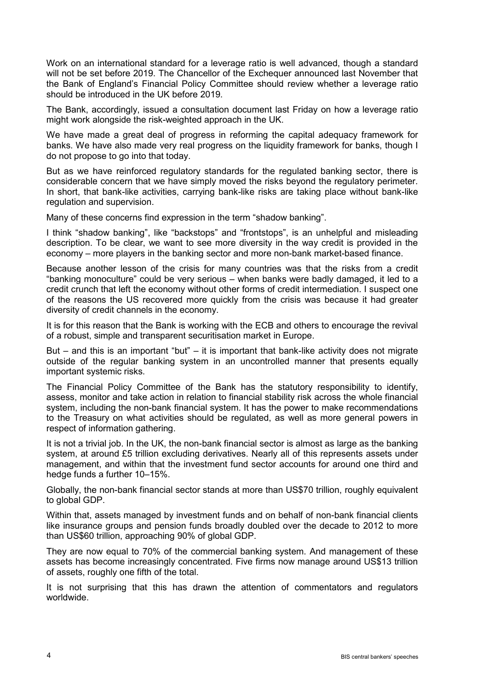Work on an international standard for a leverage ratio is well advanced, though a standard will not be set before 2019. The Chancellor of the Exchequer announced last November that the Bank of England's Financial Policy Committee should review whether a leverage ratio should be introduced in the UK before 2019.

The Bank, accordingly, issued a consultation document last Friday on how a leverage ratio might work alongside the risk-weighted approach in the UK.

We have made a great deal of progress in reforming the capital adequacy framework for banks. We have also made very real progress on the liquidity framework for banks, though I do not propose to go into that today.

But as we have reinforced regulatory standards for the regulated banking sector, there is considerable concern that we have simply moved the risks beyond the regulatory perimeter. In short, that bank-like activities, carrying bank-like risks are taking place without bank-like regulation and supervision.

Many of these concerns find expression in the term "shadow banking".

I think "shadow banking", like "backstops" and "frontstops", is an unhelpful and misleading description. To be clear, we want to see more diversity in the way credit is provided in the economy – more players in the banking sector and more non-bank market-based finance.

Because another lesson of the crisis for many countries was that the risks from a credit "banking monoculture" could be very serious – when banks were badly damaged, it led to a credit crunch that left the economy without other forms of credit intermediation. I suspect one of the reasons the US recovered more quickly from the crisis was because it had greater diversity of credit channels in the economy.

It is for this reason that the Bank is working with the ECB and others to encourage the revival of a robust, simple and transparent securitisation market in Europe.

But – and this is an important "but" – it is important that bank-like activity does not migrate outside of the regular banking system in an uncontrolled manner that presents equally important systemic risks.

The Financial Policy Committee of the Bank has the statutory responsibility to identify, assess, monitor and take action in relation to financial stability risk across the whole financial system, including the non-bank financial system. It has the power to make recommendations to the Treasury on what activities should be regulated, as well as more general powers in respect of information gathering.

It is not a trivial job. In the UK, the non-bank financial sector is almost as large as the banking system, at around £5 trillion excluding derivatives. Nearly all of this represents assets under management, and within that the investment fund sector accounts for around one third and hedge funds a further 10–15%.

Globally, the non-bank financial sector stands at more than US\$70 trillion, roughly equivalent to global GDP.

Within that, assets managed by investment funds and on behalf of non-bank financial clients like insurance groups and pension funds broadly doubled over the decade to 2012 to more than US\$60 trillion, approaching 90% of global GDP.

They are now equal to 70% of the commercial banking system. And management of these assets has become increasingly concentrated. Five firms now manage around US\$13 trillion of assets, roughly one fifth of the total.

It is not surprising that this has drawn the attention of commentators and regulators worldwide.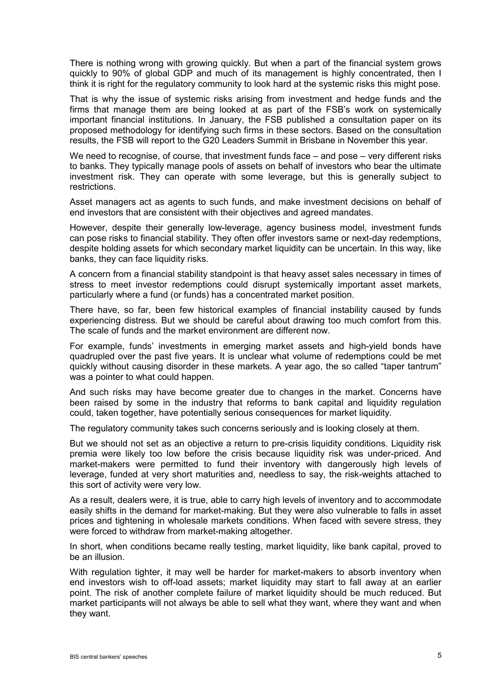There is nothing wrong with growing quickly. But when a part of the financial system grows quickly to 90% of global GDP and much of its management is highly concentrated, then I think it is right for the regulatory community to look hard at the systemic risks this might pose.

That is why the issue of systemic risks arising from investment and hedge funds and the firms that manage them are being looked at as part of the FSB's work on systemically important financial institutions. In January, the FSB published a consultation paper on its proposed methodology for identifying such firms in these sectors. Based on the consultation results, the FSB will report to the G20 Leaders Summit in Brisbane in November this year.

We need to recognise, of course, that investment funds face – and pose – very different risks to banks. They typically manage pools of assets on behalf of investors who bear the ultimate investment risk. They can operate with some leverage, but this is generally subject to restrictions.

Asset managers act as agents to such funds, and make investment decisions on behalf of end investors that are consistent with their objectives and agreed mandates.

However, despite their generally low-leverage, agency business model, investment funds can pose risks to financial stability. They often offer investors same or next-day redemptions, despite holding assets for which secondary market liquidity can be uncertain. In this way, like banks, they can face liquidity risks.

A concern from a financial stability standpoint is that heavy asset sales necessary in times of stress to meet investor redemptions could disrupt systemically important asset markets, particularly where a fund (or funds) has a concentrated market position.

There have, so far, been few historical examples of financial instability caused by funds experiencing distress. But we should be careful about drawing too much comfort from this. The scale of funds and the market environment are different now.

For example, funds' investments in emerging market assets and high-yield bonds have quadrupled over the past five years. It is unclear what volume of redemptions could be met quickly without causing disorder in these markets. A year ago, the so called "taper tantrum" was a pointer to what could happen.

And such risks may have become greater due to changes in the market. Concerns have been raised by some in the industry that reforms to bank capital and liquidity regulation could, taken together, have potentially serious consequences for market liquidity.

The regulatory community takes such concerns seriously and is looking closely at them.

But we should not set as an objective a return to pre-crisis liquidity conditions. Liquidity risk premia were likely too low before the crisis because liquidity risk was under-priced. And market-makers were permitted to fund their inventory with dangerously high levels of leverage, funded at very short maturities and, needless to say, the risk-weights attached to this sort of activity were very low.

As a result, dealers were, it is true, able to carry high levels of inventory and to accommodate easily shifts in the demand for market-making. But they were also vulnerable to falls in asset prices and tightening in wholesale markets conditions. When faced with severe stress, they were forced to withdraw from market-making altogether.

In short, when conditions became really testing, market liquidity, like bank capital, proved to be an illusion.

With regulation tighter, it may well be harder for market-makers to absorb inventory when end investors wish to off-load assets; market liquidity may start to fall away at an earlier point. The risk of another complete failure of market liquidity should be much reduced. But market participants will not always be able to sell what they want, where they want and when they want.